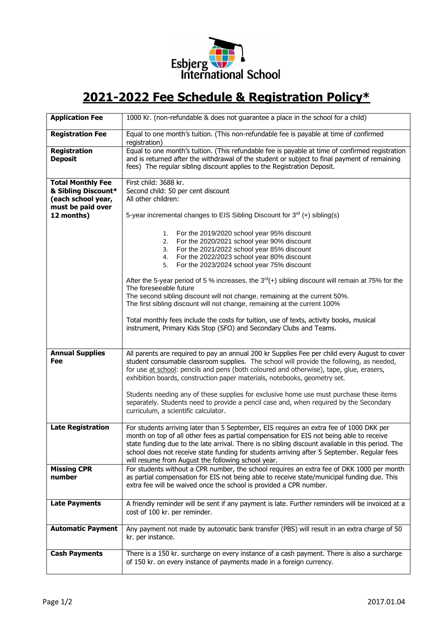

## **2021-2022 Fee Schedule & Registration Policy\***

| <b>Application Fee</b>                                                                                   | 1000 Kr. (non-refundable & does not guarantee a place in the school for a child)                                                                                                                                                                                                                                                                                                                                                              |
|----------------------------------------------------------------------------------------------------------|-----------------------------------------------------------------------------------------------------------------------------------------------------------------------------------------------------------------------------------------------------------------------------------------------------------------------------------------------------------------------------------------------------------------------------------------------|
| <b>Registration Fee</b>                                                                                  | Equal to one month's tuition. (This non-refundable fee is payable at time of confirmed<br>registration)                                                                                                                                                                                                                                                                                                                                       |
| Registration<br><b>Deposit</b>                                                                           | Equal to one month's tuition. (This refundable fee is payable at time of confirmed registration<br>and is returned after the withdrawal of the student or subject to final payment of remaining<br>fees) The regular sibling discount applies to the Registration Deposit.                                                                                                                                                                    |
| <b>Total Monthly Fee</b><br>& Sibling Discount*<br>(each school year,<br>must be paid over<br>12 months) | First child: 3688 kr.<br>Second child: 50 per cent discount<br>All other children:<br>5-year incremental changes to EIS Sibling Discount for $3^{rd}$ (+) sibling(s)                                                                                                                                                                                                                                                                          |
|                                                                                                          | For the 2019/2020 school year 95% discount<br>1.<br>For the 2020/2021 school year 90% discount<br>2.<br>For the 2021/2022 school year 85% discount<br>3.<br>For the 2022/2023 school year 80% discount<br>4.<br>For the 2023/2024 school year 75% discount<br>5.<br>After the 5-year period of 5 % increases, the 3 <sup>rd</sup> (+) sibling discount will remain at 75% for the                                                             |
|                                                                                                          | The foreseeable future<br>The second sibling discount will not change, remaining at the current 50%.<br>The first sibling discount will not change, remaining at the current 100%<br>Total monthly fees include the costs for tuition, use of texts, activity books, musical                                                                                                                                                                  |
|                                                                                                          | instrument, Primary Kids Stop (SFO) and Secondary Clubs and Teams.                                                                                                                                                                                                                                                                                                                                                                            |
| <b>Annual Supplies</b><br>Fee                                                                            | All parents are required to pay an annual 200 kr Supplies Fee per child every August to cover<br>student consumable classroom supplies. The school will provide the following, as needed,<br>for use at school: pencils and pens (both coloured and otherwise), tape, glue, erasers,<br>exhibition boards, construction paper materials, notebooks, geometry set.                                                                             |
|                                                                                                          | Students needing any of these supplies for exclusive home use must purchase these items<br>separately. Students need to provide a pencil case and, when required by the Secondary<br>curriculum, a scientific calculator.                                                                                                                                                                                                                     |
| <b>Late Registration</b>                                                                                 | For students arriving later than 5 September, EIS requires an extra fee of 1000 DKK per<br>month on top of all other fees as partial compensation for EIS not being able to receive<br>state funding due to the late arrival. There is no sibling discount available in this period. The<br>school does not receive state funding for students arriving after 5 September. Regular fees<br>will resume from August the following school year. |
| <b>Missing CPR</b><br>number                                                                             | For students without a CPR number, the school requires an extra fee of DKK 1000 per month<br>as partial compensation for EIS not being able to receive state/municipal funding due. This<br>extra fee will be waived once the school is provided a CPR number.                                                                                                                                                                                |
| <b>Late Payments</b>                                                                                     | A friendly reminder will be sent if any payment is late. Further reminders will be invoiced at a<br>cost of 100 kr. per reminder.                                                                                                                                                                                                                                                                                                             |
| <b>Automatic Payment</b>                                                                                 | Any payment not made by automatic bank transfer (PBS) will result in an extra charge of 50<br>kr. per instance.                                                                                                                                                                                                                                                                                                                               |
| <b>Cash Payments</b>                                                                                     | There is a 150 kr. surcharge on every instance of a cash payment. There is also a surcharge<br>of 150 kr. on every instance of payments made in a foreign currency.                                                                                                                                                                                                                                                                           |